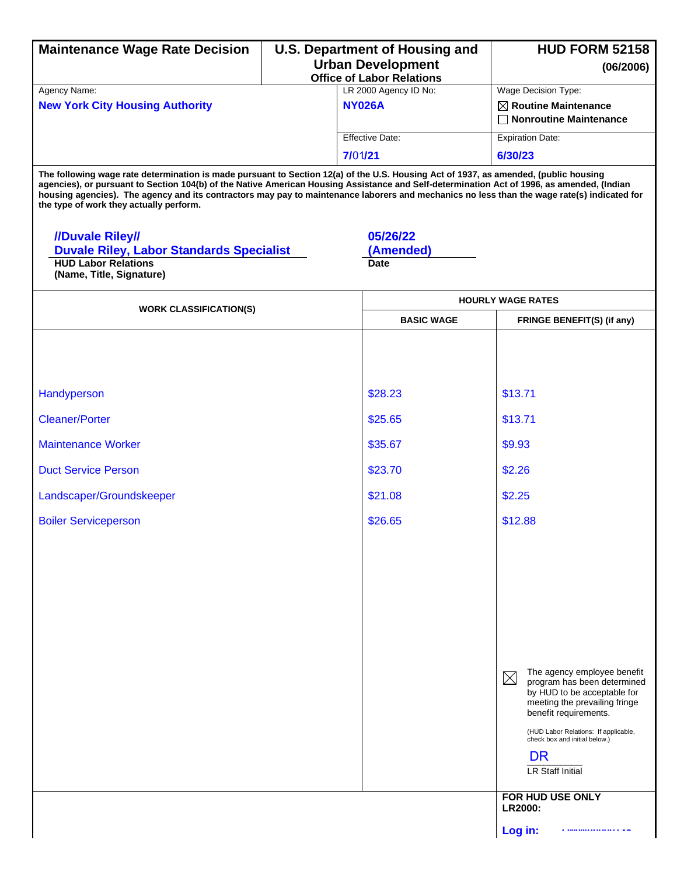| <b>Maintenance Wage Rate Decision</b>                                                                                                                                                                                                                                                                                                                                                                                                                                        |                                                              | <b>U.S. Department of Housing and</b>  | <b>HUD FORM 52158</b>                                                                                                                                                                                                                                                                                   |  |
|------------------------------------------------------------------------------------------------------------------------------------------------------------------------------------------------------------------------------------------------------------------------------------------------------------------------------------------------------------------------------------------------------------------------------------------------------------------------------|--------------------------------------------------------------|----------------------------------------|---------------------------------------------------------------------------------------------------------------------------------------------------------------------------------------------------------------------------------------------------------------------------------------------------------|--|
|                                                                                                                                                                                                                                                                                                                                                                                                                                                                              | <b>Urban Development</b><br><b>Office of Labor Relations</b> |                                        | (06/2006)                                                                                                                                                                                                                                                                                               |  |
| Agency Name:<br><b>New York City Housing Authority</b>                                                                                                                                                                                                                                                                                                                                                                                                                       |                                                              | LR 2000 Agency ID No:<br><b>NY026A</b> | Wage Decision Type:<br>$\boxtimes$ Routine Maintenance<br><b>Nonroutine Maintenance</b>                                                                                                                                                                                                                 |  |
|                                                                                                                                                                                                                                                                                                                                                                                                                                                                              |                                                              | <b>Effective Date:</b>                 | <b>Expiration Date:</b>                                                                                                                                                                                                                                                                                 |  |
|                                                                                                                                                                                                                                                                                                                                                                                                                                                                              |                                                              | 7/01/21                                | 6/30/23                                                                                                                                                                                                                                                                                                 |  |
| The following wage rate determination is made pursuant to Section 12(a) of the U.S. Housing Act of 1937, as amended, (public housing<br>agencies), or pursuant to Section 104(b) of the Native American Housing Assistance and Self-determination Act of 1996, as amended, (Indian<br>housing agencies). The agency and its contractors may pay to maintenance laborers and mechanics no less than the wage rate(s) indicated for<br>the type of work they actually perform. |                                                              |                                        |                                                                                                                                                                                                                                                                                                         |  |
| //Duvale Riley/<br><b>Duvale Riley, Labor Standards Specialist</b><br><b>HUD Labor Relations</b><br>(Name, Title, Signature)                                                                                                                                                                                                                                                                                                                                                 |                                                              | 05/26/22<br>(Amended)<br><b>Date</b>   |                                                                                                                                                                                                                                                                                                         |  |
| <b>WORK CLASSIFICATION(S)</b>                                                                                                                                                                                                                                                                                                                                                                                                                                                |                                                              |                                        | <b>HOURLY WAGE RATES</b>                                                                                                                                                                                                                                                                                |  |
|                                                                                                                                                                                                                                                                                                                                                                                                                                                                              |                                                              | <b>BASIC WAGE</b>                      | FRINGE BENEFIT(S) (if any)                                                                                                                                                                                                                                                                              |  |
|                                                                                                                                                                                                                                                                                                                                                                                                                                                                              |                                                              |                                        |                                                                                                                                                                                                                                                                                                         |  |
| Handyperson                                                                                                                                                                                                                                                                                                                                                                                                                                                                  |                                                              | \$28.23                                | \$13.71                                                                                                                                                                                                                                                                                                 |  |
| <b>Cleaner/Porter</b>                                                                                                                                                                                                                                                                                                                                                                                                                                                        |                                                              | \$25.65                                | \$13.71                                                                                                                                                                                                                                                                                                 |  |
| <b>Maintenance Worker</b>                                                                                                                                                                                                                                                                                                                                                                                                                                                    |                                                              | \$35.67                                | \$9.93                                                                                                                                                                                                                                                                                                  |  |
| <b>Duct Service Person</b>                                                                                                                                                                                                                                                                                                                                                                                                                                                   |                                                              | \$23.70                                | \$2.26                                                                                                                                                                                                                                                                                                  |  |
| Landscaper/Groundskeeper                                                                                                                                                                                                                                                                                                                                                                                                                                                     |                                                              | \$21.08                                | \$2.25                                                                                                                                                                                                                                                                                                  |  |
| <b>Boiler Serviceperson</b>                                                                                                                                                                                                                                                                                                                                                                                                                                                  |                                                              | \$26.65                                | \$12.88                                                                                                                                                                                                                                                                                                 |  |
|                                                                                                                                                                                                                                                                                                                                                                                                                                                                              |                                                              |                                        | The agency employee benefit<br>$\boxtimes$<br>program has been determined<br>by HUD to be acceptable for<br>meeting the prevailing fringe<br>benefit requirements.<br>(HUD Labor Relations: If applicable,<br>check box and initial below.)<br><b>DR</b><br><b>LR Staff Initial</b><br>FOR HUD USE ONLY |  |
|                                                                                                                                                                                                                                                                                                                                                                                                                                                                              |                                                              |                                        | <b>LR2000:</b><br>Log in:                                                                                                                                                                                                                                                                               |  |